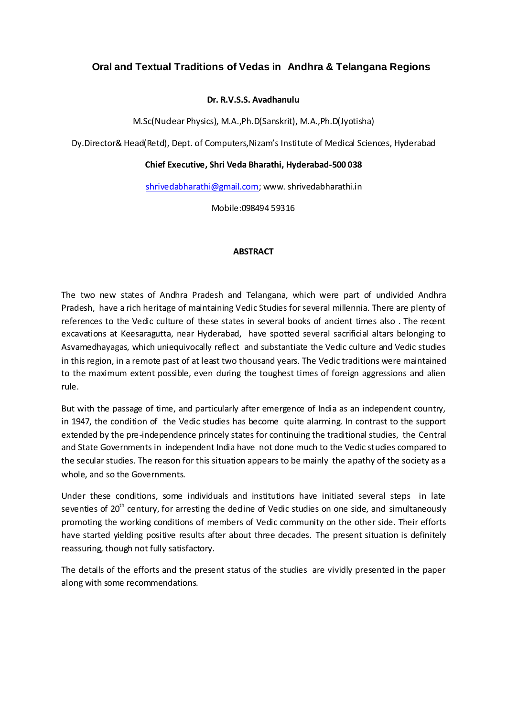# **Oral and Textual Traditions of Vedas in Andhra & Telangana Regions**

### **Dr. R.V.S.S. Avadhanulu**

M.Sc(Nuclear Physics), M.A.,Ph.D(Sanskrit), M.A.,Ph.D(Jyotisha)

Dy.Director& Head(Retd), Dept. of Computers,Nizam's Institute of Medical Sciences, Hyderabad

### **Chief Executive, Shri Veda Bharathi, Hyderabad-500 038**

[shrivedabharathi@gmail.com;](mailto:shrivedabharathi@gmail.com) www. shrivedabharathi.in

Mobile:098494 59316

### **ABSTRACT**

The two new states of Andhra Pradesh and Telangana, which were part of undivided Andhra Pradesh, have a rich heritage of maintaining Vedic Studies for several millennia. There are plenty of references to the Vedic culture of these states in several books of ancient times also . The recent excavations at Keesaragutta, near Hyderabad, have spotted several sacrificial altars belonging to Asvamedhayagas, which uniequivocally reflect and substantiate the Vedic culture and Vedic studies in this region, in a remote past of at least two thousand years. The Vedic traditions were maintained to the maximum extent possible, even during the toughest times of foreign aggressions and alien rule.

But with the passage of time, and particularly after emergence of India as an independent country, in 1947, the condition of the Vedic studies has become quite alarming. In contrast to the support extended by the pre-independence princely states for continuing the traditional studies, the Central and State Governments in independent India have not done much to the Vedic studies compared to the secular studies. The reason for this situation appears to be mainly the apathy of the society as a whole, and so the Governments.

Under these conditions, some individuals and institutions have initiated several steps in late seventies of  $20<sup>th</sup>$  century, for arresting the dedine of Vedic studies on one side, and simultaneously promoting the working conditions of members of Vedic community on the other side. Their efforts have started yielding positive results after about three decades. The present situation is definitely reassuring, though not fully satisfactory.

The details of the efforts and the present status of the studies are vividly presented in the paper along with some recommendations.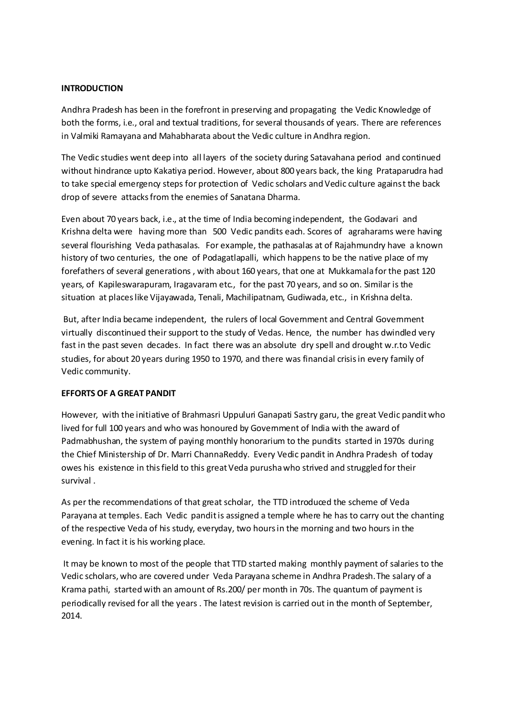### **INTRODUCTION**

Andhra Pradesh has been in the forefront in preserving and propagating the Vedic Knowledge of both the forms, i.e., oral and textual traditions, for several thousands of years. There are references in Valmiki Ramayana and Mahabharata about the Vedic culture in Andhra region.

The Vedic studies went deep into all layers of the society during Satavahana period and continued without hindrance upto Kakatiya period. However, about 800 years back, the king Prataparudra had to take special emergency steps for protection of Vedic scholars and Vedic culture against the back drop of severe attacks from the enemies of Sanatana Dharma.

Even about 70 years back, i.e., at the time of India becoming independent, the Godavari and Krishna delta were having more than 500 Vedic pandits each. Scores of agraharams were having several flourishing Veda pathasalas. For example, the pathasalas at of Rajahmundry have a known history of two centuries, the one of Podagatlapalli, which happens to be the native place of my forefathers of several generations , with about 160 years, that one at Mukkamala for the past 120 years, of Kapileswarapuram, Iragavaram etc., for the past 70 years, and so on. Similar is the situation at places like Vijayawada, Tenali, Machilipatnam, Gudiwada, etc., in Krishna delta.

But, after India became independent, the rulers of local Government and Central Government virtually discontinued their support to the study of Vedas. Hence, the number has dwindled very fast in the past seven decades. In fact there was an absolute dry spell and drought w.r.to Vedic studies, for about 20 years during 1950 to 1970, and there was financial crisis in every family of Vedic community.

### **EFFORTS OF A GREAT PANDIT**

However, with the initiative of Brahmasri Uppuluri Ganapati Sastry garu, the great Vedic pandit who lived for full 100 years and who was honoured by Government of India with the award of Padmabhushan, the system of paying monthly honorarium to the pundits started in 1970s during the Chief Ministership of Dr. Marri ChannaReddy. Every Vedic pandit in Andhra Pradesh of today owes his existence in this field to this great Veda purusha who strived and struggled for their survival .

As per the recommendations of that great scholar, the TTD introduced the scheme of Veda Parayana at temples. Each Vedic pandit is assigned a temple where he has to carry out the chanting of the respective Veda of his study, everyday, two hours in the morning and two hours in the evening. In fact it is his working place.

It may be known to most of the people that TTD started making monthly payment of salaries to the Vedic scholars, who are covered under Veda Parayana scheme in Andhra Pradesh.The salary of a Krama pathi, started with an amount of Rs.200/ per month in 70s. The quantum of payment is periodically revised for all the years . The latest revision is carried out in the month of September, 2014.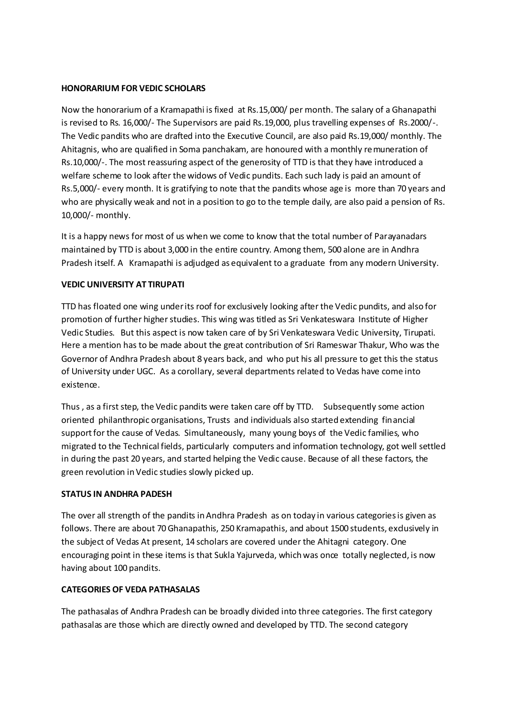### **HONORARIUM FOR VEDIC SCHOLARS**

Now the honorarium of a Kramapathi is fixed at Rs.15,000/ per month. The salary of a Ghanapathi is revised to Rs. 16,000/- The Supervisors are paid Rs.19,000, plus travelling expenses of Rs.2000/-. The Vedic pandits who are drafted into the Executive Council, are also paid Rs.19,000/ monthly. The Ahitagnis, who are qualified in Soma panchakam, are honoured with a monthly remuneration of Rs.10,000/-. The most reassuring aspect of the generosity of TTD is that they have introduced a welfare scheme to look after the widows of Vedic pundits. Each such lady is paid an amount of Rs.5,000/- every month. It is gratifying to note that the pandits whose age is more than 70 years and who are physically weak and not in a position to go to the temple daily, are also paid a pension of Rs. 10,000/- monthly.

It is a happy news for most of us when we come to know that the total number of Parayanadars maintained by TTD is about 3,000 in the entire country. Among them, 500 alone are in Andhra Pradesh itself. A Kramapathi is adjudged as equivalent to a graduate from any modern University.

## **VEDIC UNIVERSITY AT TIRUPATI**

TTD has floated one wing under its roof for exclusively looking after the Vedic pundits, and also for promotion of further higher studies. This wing was titled as Sri Venkateswara Institute of Higher Vedic Studies. But this aspect is now taken care of by Sri Venkateswara Vedic University, Tirupati. Here a mention has to be made about the great contribution of Sri Rameswar Thakur, Who was the Governor of Andhra Pradesh about 8 years back, and who put his all pressure to get this the status of University under UGC. As a corollary, several departments related to Vedas have come into existence.

Thus , as a first step, the Vedic pandits were taken care off by TTD. Subsequently some action oriented philanthropic organisations, Trusts and individuals also started extending financial support for the cause of Vedas. Simultaneously, many young boys of the Vedic families, who migrated to the Technical fields, particularly computers and information technology, got well settled in during the past 20 years, and started helping the Vedic cause. Because of all these factors, the green revolution in Vedic studies slowly picked up.

## **STATUS IN ANDHRA PADESH**

The over all strength of the pandits in Andhra Pradesh as on today in various categories is given as follows. There are about 70 Ghanapathis, 250 Kramapathis, and about 1500 students, exdusively in the subject of Vedas At present, 14 scholars are covered under the Ahitagni category. One encouraging point in these items is that Sukla Yajurveda, which was once totally neglected, is now having about 100 pandits.

## **CATEGORIES OF VEDA PATHASALAS**

The pathasalas of Andhra Pradesh can be broadly divided into three categories. The first category pathasalas are those which are directly owned and developed by TTD. The second category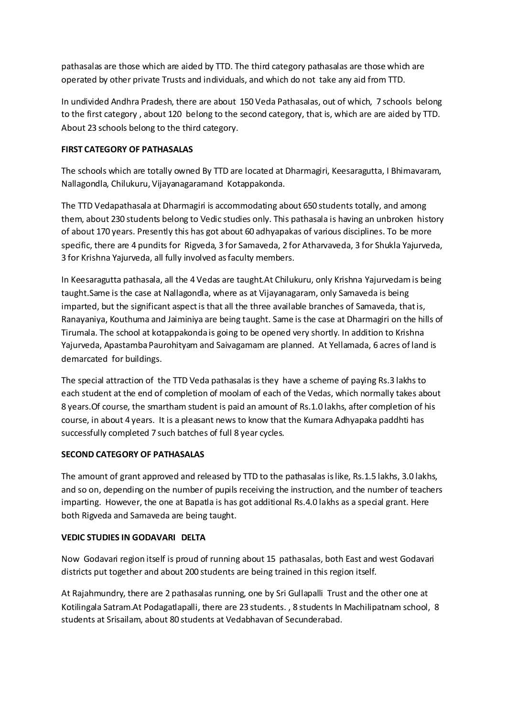pathasalas are those which are aided by TTD. The third category pathasalas are those which are operated by other private Trusts and individuals, and which do not take any aid from TTD.

In undivided Andhra Pradesh, there are about 150 Veda Pathasalas, out of which, 7 schools belong to the first category , about 120 belong to the second category, that is, which are are aided by TTD. About 23 schools belong to the third category.

# **FIRST CATEGORY OF PATHASALAS**

The schools which are totally owned By TTD are located at Dharmagiri, Keesaragutta, I Bhimavaram, Nallagondla, Chilukuru, Vijayanagaramand Kotappakonda.

The TTD Vedapathasala at Dharmagiri is accommodating about 650 students totally, and among them, about 230 students belong to Vedic studies only. This pathasala is having an unbroken history of about 170 years. Presently this has got about 60 adhyapakas of various disciplines. To be more specific, there are 4 pundits for Rigveda, 3 for Samaveda, 2 for Atharvaveda, 3 for Shukla Yajurveda, 3 for Krishna Yajurveda, all fully involved as faculty members.

In Keesaragutta pathasala, all the 4 Vedas are taught.At Chilukuru, only Krishna Yajurvedam is being taught.Same is the case at Nallagondla, where as at Vijayanagaram, only Samaveda is being imparted, but the significant aspect is that all the three available branches of Samaveda, that is, Ranayaniya, Kouthuma and Jaiminiya are being taught. Same is the case at Dharmagiri on the hills of Tirumala. The school at kotappakonda is going to be opened very shortly. In addition to Krishna Yajurveda, Apastamba Paurohityam and Saivagamam are planned. At Yellamada, 6 acres of land is demarcated for buildings.

The special attraction of the TTD Veda pathasalas is they have a scheme of paying Rs.3 lakhs to each student at the end of completion of moolam of each of the Vedas, which normally takes about 8 years.Of course, the smartham student is paid an amount of Rs.1.0 lakhs, after completion of his course, in about 4 years. It is a pleasant news to know that the Kumara Adhyapaka paddhti has successfully completed 7 such batches of full 8 year cycles.

## **SECOND CATEGORY OF PATHASALAS**

The amount of grant approved and released by TTD to the pathasalas is like, Rs.1.5 lakhs, 3.0 lakhs, and so on, depending on the number of pupils receiving the instruction, and the number of teachers imparting. However, the one at Bapatla is has got additional Rs.4.0 lakhs as a special grant. Here both Rigveda and Samaveda are being taught.

## **VEDIC STUDIES IN GODAVARI DELTA**

Now Godavari region itself is proud of running about 15 pathasalas, both East and west Godavari districts put together and about 200 students are being trained in this region itself.

At Rajahmundry, there are 2 pathasalas running, one by Sri Gullapalli Trust and the other one at Kotilingala Satram.At Podagatlapalli, there are 23 students. , 8 students In Machilipatnam school, 8 students at Srisailam, about 80 students at Vedabhavan of Secunderabad.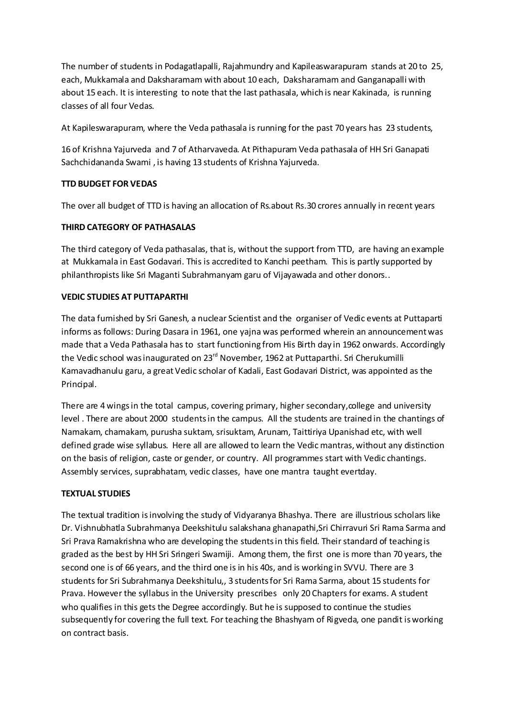The number of students in Podagatlapalli, Rajahmundry and Kapileaswarapuram stands at 20 to 25, each, Mukkamala and Daksharamam with about 10 each, Daksharamam and Ganganapalli with about 15 each. It is interesting to note that the last pathasala, which is near Kakinada, is running classes of all four Vedas.

At Kapileswarapuram, where the Veda pathasala is running for the past 70 years has 23 students,

16 of Krishna Yajurveda and 7 of Atharvaveda. At Pithapuram Veda pathasala of HH Sri Ganapati Sachchidananda Swami , is having 13 students of Krishna Yajurveda.

# **TTD BUDGET FOR VEDAS**

The over all budget of TTD is having an allocation of Rs.about Rs.30 crores annually in recent years

# **THIRD CATEGORY OF PATHASALAS**

The third category of Veda pathasalas, that is, without the support from TTD, are having an example at Mukkamala in East Godavari. This is accredited to Kanchi peetham. This is partly supported by philanthropists like Sri Maganti Subrahmanyam garu of Vijayawada and other donors..

## **VEDIC STUDIES AT PUTTAPARTHI**

The data furnished by Sri Ganesh, a nuclear Scientist and the organiser of Vedic events at Puttaparti informs as follows: During Dasara in 1961, one yajna was performed wherein an announcement was made that a Veda Pathasala has to start functioning from His Birth day in 1962 onwards. Accordingly the Vedic school was inaugurated on 23<sup>rd</sup> November, 1962 at Puttaparthi. Sri Cherukumilli Kamavadhanulu garu, a great Vedic scholar of Kadali, East Godavari District, was appointed as the Principal.

There are 4 wings in the total campus, covering primary, higher secondary, college and university level . There are about 2000 students in the campus. All the students are trained in the chantings of Namakam, chamakam, purusha suktam, srisuktam, Arunam, Taittiriya Upanishad etc, with well defined grade wise syllabus. Here all are allowed to learn the Vedic mantras, without any distinction on the basis of religion, caste or gender, or country. All programmes start with Vedic chantings. Assembly services, suprabhatam, vedic classes, have one mantra taught evertday.

## **TEXTUAL STUDIES**

The textual tradition is involving the study of Vidyaranya Bhashya. There are illustrious scholars like Dr. Vishnubhatla Subrahmanya Deekshitulu salakshana ghanapathi,Sri Chirravuri Sri Rama Sarma and Sri Prava Ramakrishna who are developing the students in this field. Their standard of teaching is graded as the best by HH Sri Sringeri Swamiji. Among them, the first one is more than 70 years, the second one is of 66 years, and the third one is in his 40s, and is working in SVVU. There are 3 students for Sri Subrahmanya Deekshitulu,, 3 students for Sri Rama Sarma, about 15 students for Prava. However the syllabus in the University prescribes only 20 Chapters for exams. A student who qualifies in this gets the Degree accordingly. But he is supposed to continue the studies subsequently for covering the full text. For teaching the Bhashyam of Rigveda, one pandit is working on contract basis.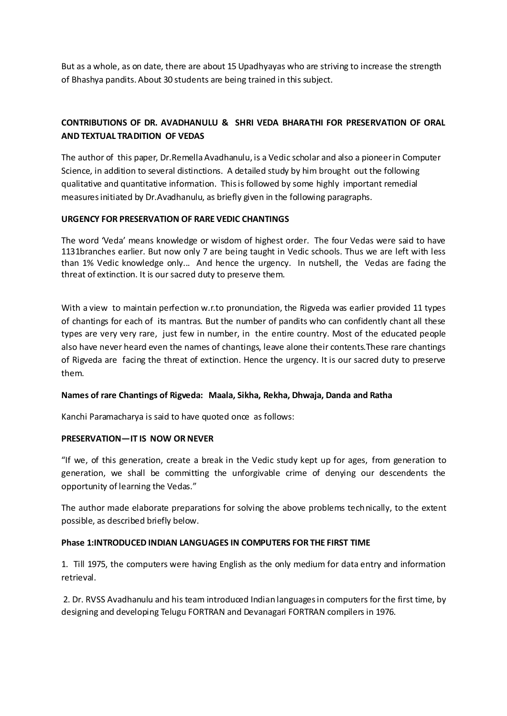But as a whole, as on date, there are about 15 Upadhyayas who are striving to increase the strength of Bhashya pandits. About 30 students are being trained in this subject.

# **CONTRIBUTIONS OF DR. AVADHANULU & SHRI VEDA BHARATHI FOR PRESERVATION OF ORAL AND TEXTUAL TRADITION OF VEDAS**

The author of this paper, Dr.Remella Avadhanulu, is a Vedic scholar and also a pioneer in Computer Science, in addition to several distinctions. A detailed study by him brought out the following qualitative and quantitative information. This is followed by some highly important remedial measures initiated by Dr.Avadhanulu, as briefly given in the following paragraphs.

## **URGENCY FOR PRESERVATION OF RARE VEDIC CHANTINGS**

The word 'Veda' means knowledge or wisdom of highest order. The four Vedas were said to have 1131branches earlier. But now only 7 are being taught in Vedic schools. Thus we are left with less than 1% Vedic knowledge only... And hence the urgency. In nutshell, the Vedas are facing the threat of extinction. It is our sacred duty to preserve them.

With a view to maintain perfection w.r.to pronunciation, the Rigveda was earlier provided 11 types of chantings for each of its mantras. But the number of pandits who can confidently chant all these types are very very rare, just few in number, in the entire country. Most of the educated people also have never heard even the names of chantings, leave alone their contents.These rare chantings of Rigveda are facing the threat of extinction. Hence the urgency. It is our sacred duty to preserve them.

### **Names of rare Chantings of Rigveda: Maala, Sikha, Rekha, Dhwaja, Danda and Ratha**

Kanchi Paramacharya is said to have quoted once as follows:

### **PRESERVATION—IT IS NOW OR NEVER**

"If we, of this generation, create a break in the Vedic study kept up for ages, from generation to generation, we shall be committing the unforgivable crime of denying our descendents the opportunity of learning the Vedas."

The author made elaborate preparations for solving the above problems technically, to the extent possible, as described briefly below.

### **Phase 1:INTRODUCED INDIAN LANGUAGES IN COMPUTERS FOR THE FIRST TIME**

1. Till 1975, the computers were having English as the only medium for data entry and information retrieval.

2. Dr. RVSS Avadhanulu and his team introduced Indian languages in computers for the first time, by designing and developing Telugu FORTRAN and Devanagari FORTRAN compilers in 1976.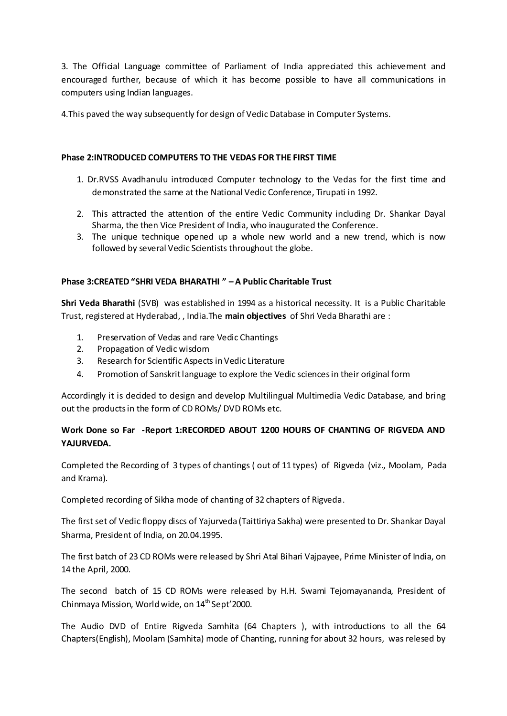3. The Official Language committee of Parliament of India appreciated this achievement and encouraged further, because of which it has become possible to have all communications in computers using Indian languages.

4.This paved the way subsequently for design of Vedic Database in Computer Systems.

## **Phase 2:INTRODUCED COMPUTERS TO THE VEDAS FOR THE FIRST TIME**

- 1. Dr.RVSS Avadhanulu introduced Computer technology to the Vedas for the first time and demonstrated the same at the National Vedic Conference, Tirupati in 1992.
- 2. This attracted the attention of the entire Vedic Community including Dr. Shankar Dayal Sharma, the then Vice President of India, who inaugurated the Conference.
- 3. The unique technique opened up a whole new world and a new trend, which is now followed by several Vedic Scientists throughout the globe.

# **Phase 3:CREATED "SHRI VEDA BHARATHI " – A Public Charitable Trust**

**Shri Veda Bharathi** (SVB) was established in 1994 as a historical necessity. It is a Public Charitable Trust, registered at Hyderabad, , India.The **main objectives** of Shri Veda Bharathi are :

- 1. Preservation of Vedas and rare Vedic Chantings
- 2. Propagation of Vedic wisdom
- 3. Research for Scientific Aspects in Vedic Literature
- 4. Promotion of Sanskrit language to explore the Vedic sciences in their original form

Accordingly it is decided to design and develop Multilingual Multimedia Vedic Database, and bring out the products in the form of CD ROMs/ DVD ROMs etc.

# **Work Done so Far -Report 1:RECORDED ABOUT 1200 HOURS OF CHANTING OF RIGVEDA AND YAJURVEDA.**

Completed the Recording of 3 types of chantings ( out of 11 types) of Rigveda (viz., Moolam, Pada and Krama).

Completed recording of Sikha mode of chanting of 32 chapters of Rigveda.

The first set of Vedic floppy discs of Yajurveda (Taittiriya Sakha) were presented to Dr. Shankar Dayal Sharma, President of India, on 20.04.1995.

The first batch of 23 CD ROMs were released by Shri Atal Bihari Vajpayee, Prime Minister of India, on 14 the April, 2000.

The second batch of 15 CD ROMs were released by H.H. Swami Tejomayananda, President of Chinmaya Mission, World wide, on  $14<sup>th</sup>$  Sept'2000.

The Audio DVD of Entire Rigveda Samhita (64 Chapters ), with introductions to all the 64 Chapters(English), Moolam (Samhita) mode of Chanting, running for about 32 hours, was relesed by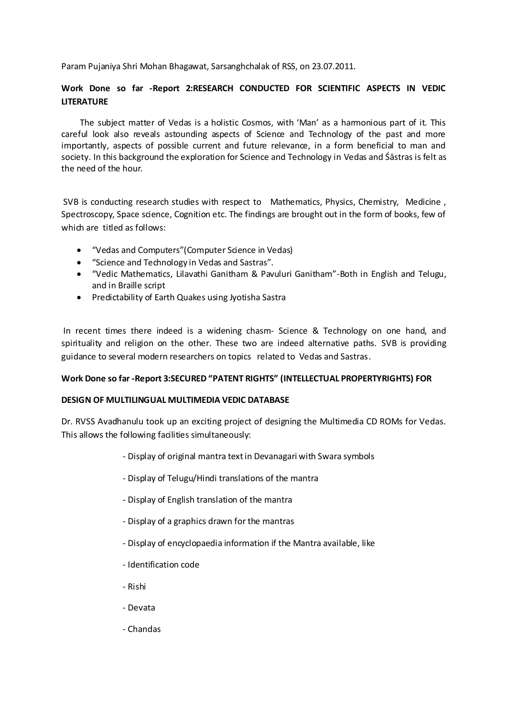Param Pujaniya Shri Mohan Bhagawat, Sarsanghchalak of RSS, on 23.07.2011.

# **Work Done so far -Report 2:RESEARCH CONDUCTED FOR SCIENTIFIC ASPECTS IN VEDIC LITERATURE**

The subject matter of Vedas is a holistic Cosmos, with 'Man' as a harmonious part of it. This careful look also reveals astounding aspects of Science and Technology of the past and more importantly, aspects of possible current and future relevance, in a form beneficial to man and society. In this background the exploration for Science and Technology in Vedas and Śāstras is felt as the need of the hour.

SVB is conducting research studies with respect to Mathematics, Physics, Chemistry, Medicine , Spectroscopy, Space science, Cognition etc. The findings are brought out in the form of books, few of which are titled as follows:

- "Vedas and Computers" (Computer Science in Vedas)
- "Science and Technology in Vedas and Sastras".
- "Vedic Mathematics, Lilavathi Ganitham & Pavuluri Ganitham"-Both in English and Telugu, and in Braille script
- Predictability of Earth Quakes using Jyotisha Sastra

In recent times there indeed is a widening chasm- Science & Technology on one hand, and spirituality and religion on the other. These two are indeed alternative paths. SVB is providing guidance to several modern researchers on topics related to Vedas and Sastras.

## **Work Done so far -Report 3:SECURED "PATENT RIGHTS" (INTELLECTUAL PROPERTYRIGHTS) FOR**

## **DESIGN OF MULTILINGUAL MULTIMEDIA VEDIC DATABASE**

Dr. RVSS Avadhanulu took up an exciting project of designing the Multimedia CD ROMs for Vedas. This allows the following facilities simultaneously:

- Display of original mantra text in Devanagari with Swara symbols
- Display of Telugu/Hindi translations of the mantra
- Display of English translation of the mantra
- Display of a graphics drawn for the mantras
- Display of encyclopaedia information if the Mantra available, like
- Identification code
- Rishi
- Devata
- Chandas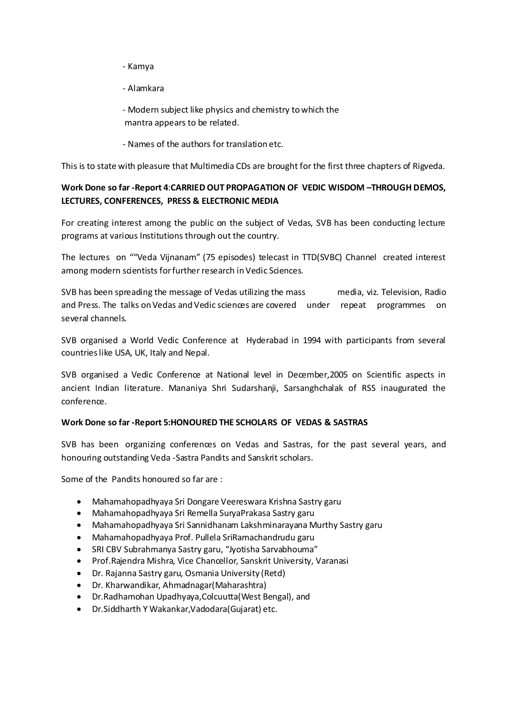- Kamya
- Alamkara

- Modern subject like physics and chemistry to which the mantra appears to be related.

- Names of the authors for translation etc.

This is to state with pleasure that Multimedia CDs are brought for the first three chapters of Rigveda.

# **Work Done so far -Report 4**:**CARRIED OUT PROPAGATION OF VEDIC WISDOM –THROUGH DEMOS, LECTURES, CONFERENCES, PRESS & ELECTRONIC MEDIA**

For creating interest among the public on the subject of Vedas, SVB has been conducting lecture programs at various Institutions through out the country.

The lectures on ""Veda Vijnanam" (75 episodes) telecast in TTD(SVBC) Channel created interest among modern scientists for further research in Vedic Sciences.

SVB has been spreading the message of Vedas utilizing the mass media, viz. Television, Radio and Press. The talks on Vedas and Vedic sciences are covered under repeat programmes on several channels.

SVB organised a World Vedic Conference at Hyderabad in 1994 with participants from several countries like USA, UK, Italy and Nepal.

SVB organised a Vedic Conference at National level in December,2005 on Scientific aspects in ancient Indian literature. Mananiya Shri Sudarshanji, Sarsanghchalak of RSS inaugurated the conference.

## **Work Done so far -Report 5:HONOURED THE SCHOLARS OF VEDAS & SASTRAS**

SVB has been organizing conferences on Vedas and Sastras, for the past several years, and honouring outstanding Veda -Sastra Pandits and Sanskrit scholars.

Some of the Pandits honoured so far are :

- Mahamahopadhyaya Sri Dongare Veereswara Krishna Sastry garu
- Mahamahopadhyaya Sri Remella SuryaPrakasa Sastry garu
- Mahamahopadhyaya Sri Sannidhanam Lakshminarayana Murthy Sastry garu
- Mahamahopadhyaya Prof. Pullela SriRamachandrudu garu
- SRI CBV Subrahmanya Sastry garu, "Jyotisha Sarvabhouma"
- Prof.Rajendra Mishra, Vice Chancellor, Sanskrit University, Varanasi
- Dr. Rajanna Sastry garu, Osmania University (Retd)
- Dr. Kharwandikar, Ahmadnagar(Maharashtra)
- Dr.Radhamohan Upadhyaya,Colcuutta(West Bengal), and
- Dr.Siddharth Y Wakankar,Vadodara(Gujarat) etc.